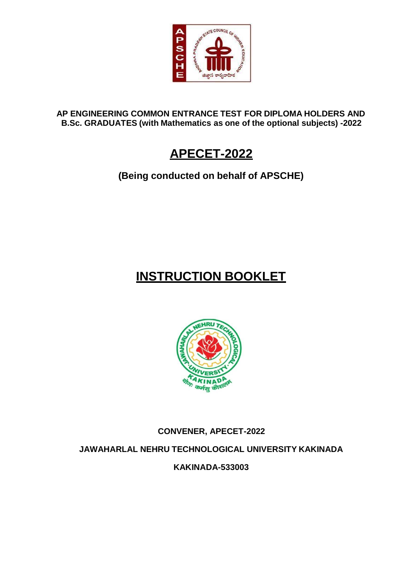

**AP ENGINEERING COMMON ENTRANCE TEST FOR DIPLOMA HOLDERS AND B.Sc. GRADUATES (with Mathematics as one of the optional subjects) -2022**

## **APECET-2022**

**(Being conducted on behalf of APSCHE)**

# **INSTRUCTION BOOKLET**



## **CONVENER, APECET-2022**

**JAWAHARLAL NEHRU TECHNOLOGICAL UNIVERSITY KAKINADA**

**KAKINADA-533003**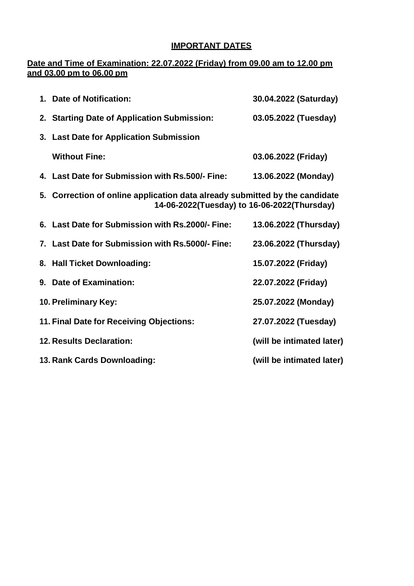## **IMPORTANT DATES**

### **Date and Time of Examination: 22.07.2022 (Friday) from 09.00 am to 12.00 pm and 03.00 pm to 06.00 pm**

| 1. Date of Notification:                                                                                                   | 30.04.2022 (Saturday)     |
|----------------------------------------------------------------------------------------------------------------------------|---------------------------|
| 2. Starting Date of Application Submission:                                                                                | 03.05.2022 (Tuesday)      |
| 3. Last Date for Application Submission                                                                                    |                           |
| <b>Without Fine:</b>                                                                                                       | 03.06.2022 (Friday)       |
| 4. Last Date for Submission with Rs.500/- Fine:                                                                            | 13.06.2022 (Monday)       |
| 5. Correction of online application data already submitted by the candidate<br>14-06-2022(Tuesday) to 16-06-2022(Thursday) |                           |
| 6. Last Date for Submission with Rs.2000/- Fine:                                                                           | 13.06.2022 (Thursday)     |
| 7. Last Date for Submission with Rs.5000/- Fine:                                                                           | 23.06.2022 (Thursday)     |
| 8. Hall Ticket Downloading:                                                                                                | 15.07.2022 (Friday)       |
| 9. Date of Examination:                                                                                                    | 22.07.2022 (Friday)       |
| 10. Preliminary Key:                                                                                                       | 25.07.2022 (Monday)       |
| 11. Final Date for Receiving Objections:                                                                                   | 27.07.2022 (Tuesday)      |
| <b>12. Results Declaration:</b>                                                                                            | (will be intimated later) |
| 13. Rank Cards Downloading:                                                                                                | (will be intimated later) |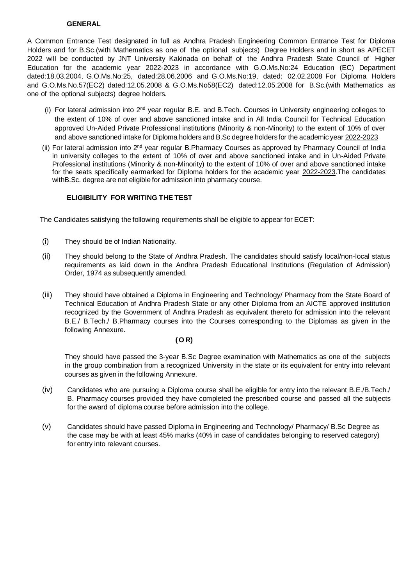#### **GENERAL**

A Common Entrance Test designated in full as Andhra Pradesh Engineering Common Entrance Test for Diploma Holders and for B.Sc.(with Mathematics as one of the optional subjects) Degree Holders and in short as APECET 2022 will be conducted by JNT University Kakinada on behalf of the Andhra Pradesh State Council of Higher Education for the academic year 2022-2023 in accordance with G.O.Ms.No:24 Education (EC) Department dated:18.03.2004, G.O.Ms.No:25, dated:28.06.2006 and G.O.Ms.No:19, dated: 02.02.2008 For Diploma Holders and G.O.Ms.No.57(EC2) dated:12.05.2008 & G.O.Ms.No58(EC2) dated:12.05.2008 for B.Sc.(with Mathematics as one of the optional subjects) degree holders.

- (i) For lateral admission into 2<sup>nd</sup> year regular B.E. and B.Tech. Courses in University engineering colleges to the extent of 10% of over and above sanctioned intake and in All India Council for Technical Education approved Un-Aided Private Professional institutions (Minority & non-Minority) to the extent of 10% of over and above sanctioned intake for Diploma holders and B.Sc degree holdersfor the academic year 2022-2023
- (ii) For lateral admission into 2<sup>nd</sup> year regular B.Pharmacy Courses as approved by Pharmacy Council of India in university colleges to the extent of 10% of over and above sanctioned intake and in Un-Aided Private Professional institutions (Minority & non-Minority) to the extent of 10% of over and above sanctioned intake for the seats specifically earmarked for Diploma holders for the academic year 2022-2023.The candidates with B.Sc. degree are not eligible for admission into pharmacy course.

#### **ELIGIBILITY FOR WRITING THE TEST**

The Candidates satisfying the following requirements shall be eligible to appear for ECET:

- (i) They should be of Indian Nationality.
- (ii) They should belong to the State of Andhra Pradesh. The candidates should satisfy local/non-local status requirements as laid down in the Andhra Pradesh Educational Institutions (Regulation of Admission) Order, 1974 as subsequently amended.
- (iii) They should have obtained a Diploma in Engineering and Technology/ Pharmacy from the State Board of Technical Education of Andhra Pradesh State or any other Diploma from an AICTE approved institution recognized by the Government of Andhra Pradesh as equivalent thereto for admission into the relevant B.E./ B.Tech./ B.Pharmacy courses into the Courses corresponding to the Diplomas as given in the following Annexure.

#### **(O R)**

They should have passed the 3-year B.Sc Degree examination with Mathematics as one of the subjects in the group combination from a recognized University in the state or its equivalent for entry into relevant courses as given in the following Annexure.

- (iv) Candidates who are pursuing a Diploma course shall be eligible for entry into the relevant B.E./B.Tech./ B. Pharmacy courses provided they have completed the prescribed course and passed all the subjects for the award of diploma course before admission into the college.
- (v) Candidates should have passed Diploma in Engineering and Technology/ Pharmacy/ B.Sc Degree as the case may be with at least 45% marks (40% in case of candidates belonging to reserved category) for entry into relevant courses.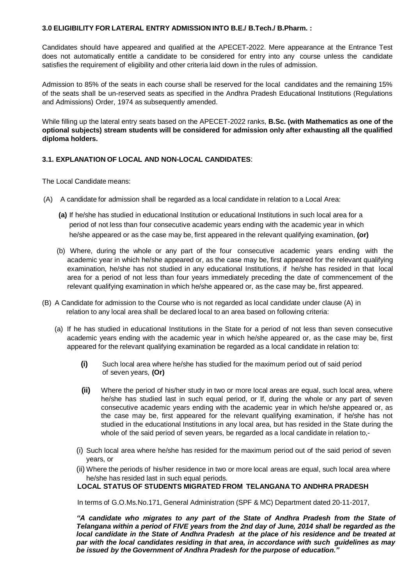#### **3.0 ELIGIBILITY FOR LATERAL ENTRY ADMISSION INTO B.E./ B.Tech./ B.Pharm. :**

Candidates should have appeared and qualified at the APECET-2022. Mere appearance at the Entrance Test does not automatically entitle a candidate to be considered for entry into any course unless the candidate satisfies the requirement of eligibility and other criteria laid down in the rules of admission.

Admission to 85% of the seats in each course shall be reserved for the local candidates and the remaining 15% of the seats shall be un-reserved seats as specified in the Andhra Pradesh Educational Institutions (Regulations and Admissions) Order, 1974 as subsequently amended.

While filling up the lateral entry seats based on the APECET-2022 ranks, **B.Sc. (with Mathematics as one of the optional subjects) stream students will be considered for admission only after exhausting all the qualified diploma holders.**

#### **3.1. EXPLANATION OF LOCAL AND NON-LOCAL CANDIDATES**:

The Local Candidate means:

- (A) A candidate for admission shall be regarded as a local candidate in relation to a Local Area:
	- **(a)** If he/she has studied in educational Institution or educational Institutions in such local area for a period of not less than four consecutive academic years ending with the academic year in which he/she appeared or as the case may be, first appeared in the relevant qualifying examination, **(or)**
	- (b) Where, during the whole or any part of the four consecutive academic years ending with the academic year in which he/she appeared or, as the case may be, first appeared for the relevant qualifying examination, he/she has not studied in any educational Institutions, if he/she has resided in that local area for a period of not less than four years immediately preceding the date of commencement of the relevant qualifying examination in which he/she appeared or, as the case may be, first appeared.
- (B) A Candidate for admission to the Course who is not regarded as local candidate under clause (A) in relation to any local area shall be declared local to an area based on following criteria:
	- (a) If he has studied in educational Institutions in the State for a period of not less than seven consecutive academic years ending with the academic year in which he/she appeared or, as the case may be, first appeared for the relevant qualifying examination be regarded as a local candidate in relation to:
		- **(i)** Such local area where he/she has studied for the maximum period out of said period of seven years, **(Or)**
		- **(ii)** Where the period of his/her study in two or more local areas are equal, such local area, where he/she has studied last in such equal period, or If, during the whole or any part of seven consecutive academic years ending with the academic year in which he/she appeared or, as the case may be, first appeared for the relevant qualifying examination, if he/she has not studied in the educational Institutions in any local area, but has resided in the State during the whole of the said period of seven years, be regarded as a local candidate in relation to,-
		- (i) Such local area where he/she has resided for the maximum period out of the said period of seven years, or
		- (ii) Where the periods of his/her residence in two or more local areas are equal, such local area where he/she has resided last in such equal periods.

#### **LOCAL STATUS OF STUDENTS MIGRATED FROM TELANGANA TO ANDHRA PRADESH**

In terms of G.O.Ms.No.171, General Administration (SPF & MC) Department dated 20-11-2017,

*"A candidate who migrates to any part of the State of Andhra Pradesh from the State of Telangana within a period of FIVE years from the 2nd day of June, 2014 shall be regarded as the local candidate in the State of Andhra Pradesh at the place of his residence and be treated at par with the local candidates residing in that area, in accordance with such guidelines as may be issued by the Government of Andhra Pradesh for the purpose of education."*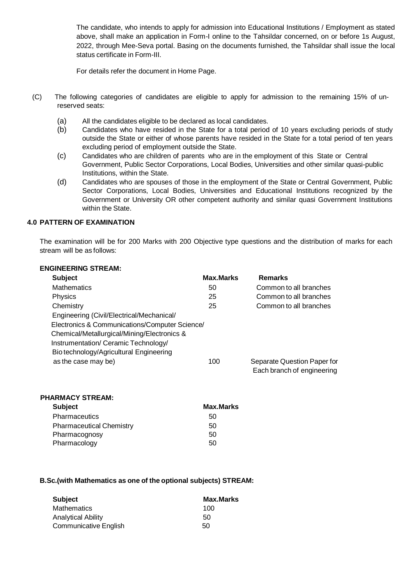The candidate, who intends to apply for admission into Educational Institutions / Employment as stated above, shall make an application in Form-I online to the Tahsildar concerned, on or before 1s August, 2022, through Mee-Seva portal. Basing on the documents furnished, the Tahsildar shall issue the local status certificate in Form-III.

For details refer the document in Home Page.

- (C) The following categories of candidates are eligible to apply for admission to the remaining 15% of unreserved seats:
	- (a) All the candidates eligible to be declared as local candidates.
	- (b) Candidates who have resided in the State for a total period of 10 years excluding periods of study outside the State or either of whose parents have resided in the State for a total period of ten years excluding period of employment outside the State.
	- (c) Candidates who are children of parents who are in the employment of this State or Central Government, Public Sector Corporations, Local Bodies, Universities and other similar quasi-public Institutions, within the State.
	- (d) Candidates who are spouses of those in the employment of the State or Central Government, Public Sector Corporations, Local Bodies, Universities and Educational Institutions recognized by the Government or University OR other competent authority and similar quasi Government Institutions within the State.

#### **4.0 PATTERN OF EXAMINATION**

The examination will be for 200 Marks with 200 Objective type questions and the distribution of marks for each stream will be as follows:

| <b>ENGINEERING STREAM:</b>                     |                  |                                                           |
|------------------------------------------------|------------------|-----------------------------------------------------------|
| <b>Subject</b>                                 | <b>Max.Marks</b> | <b>Remarks</b>                                            |
| <b>Mathematics</b>                             | 50               | Common to all branches                                    |
| Physics                                        | 25               | Common to all branches                                    |
| Chemistry                                      | 25               | Common to all branches                                    |
| Engineering (Civil/Electrical/Mechanical/      |                  |                                                           |
| Electronics & Communications/Computer Science/ |                  |                                                           |
| Chemical/Metallurgical/Mining/Electronics &    |                  |                                                           |
| Instrumentation/ Ceramic Technology/           |                  |                                                           |
| Bio technology/Agricultural Engineering        |                  |                                                           |
| as the case may be)                            | 100              | Separate Question Paper for<br>Each branch of engineering |

| <b>PHARMACY STREAM:</b>         |                  |
|---------------------------------|------------------|
| <b>Subject</b>                  | <b>Max.Marks</b> |
| <b>Pharmaceutics</b>            | 50               |
| <b>Pharmaceutical Chemistry</b> | 50               |
| Pharmacognosy                   | 50               |
| Pharmacology                    | 50               |

#### **B.Sc.(with Mathematics as one of the optional subjects) STREAM:**

| <b>Subject</b>            | <b>Max.Marks</b> |
|---------------------------|------------------|
| <b>Mathematics</b>        | 100              |
| <b>Analytical Ability</b> | 50               |
| Communicative English     | 50               |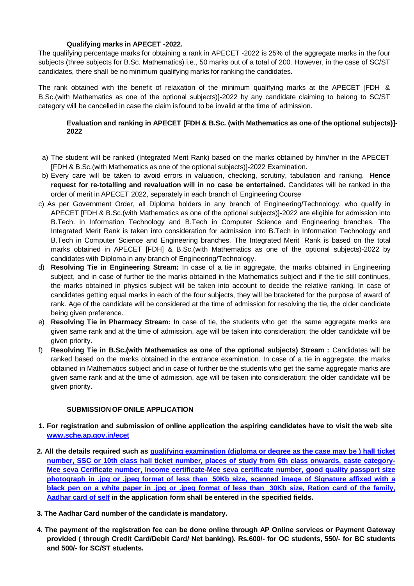#### **Qualifying marks in APECET -2022.**

The qualifying percentage marks for obtaining a rank in APECET -2022 is 25% of the aggregate marks in the four subjects (three subjects for B.Sc. Mathematics) i.e., 50 marks out of a total of 200. However, in the case of SC/ST candidates, there shall be no minimum qualifying marks for ranking the candidates.

The rank obtained with the benefit of relaxation of the minimum qualifying marks at the APECET [FDH & B.Sc.(with Mathematics as one of the optional subjects)]-2022 by any candidate claiming to belong to SC/ST category will be cancelled in case the claim is found to be invalid at the time of admission.

#### **Evaluation and ranking in APECET [FDH & B.Sc. (with Mathematics as one of the optional subjects)]- 2022**

- a) The student will be ranked (Integrated Merit Rank) based on the marks obtained by him/her in the APECET [FDH & B.Sc.(with Mathematics as one of the optional subjects)]-2022 Examination.
- b) Every care will be taken to avoid errors in valuation, checking, scrutiny, tabulation and ranking. **Hence request for re-totalling and revaluation will in no case be entertained.** Candidates will be ranked in the order of merit in APECET 2022, separately in each branch of Engineering Course
- c) As per Government Order, all Diploma holders in any branch of Engineering/Technology, who qualify in APECET [FDH & B.Sc.(with Mathematics as one of the optional subjects)]-2022 are eligible for admission into B.Tech. in Information Technology and B.Tech in Computer Science and Engineering branches. The Integrated Merit Rank is taken into consideration for admission into B.Tech in Information Technology and B.Tech in Computer Science and Engineering branches. The Integrated Merit Rank is based on the total marks obtained in APECET [FDH] & B.Sc.(with Mathematics as one of the optional subjects)-2022 by candidates with Diploma in any branch of Engineering/Technology.
- d) **Resolving Tie in Engineering Stream:** In case of a tie in aggregate, the marks obtained in Engineering subject, and in case of further tie the marks obtained in the Mathematics subject and if the tie still continues, the marks obtained in physics subject will be taken into account to decide the relative ranking. In case of candidates getting equal marks in each of the four subjects, they will be bracketed for the purpose of award of rank. Age of the candidate will be considered at the time of admission for resolving the tie, the older candidate being given preference.
- e) **Resolving Tie in Pharmacy Stream:** In case of tie, the students who get the same aggregate marks are given same rank and at the time of admission, age will be taken into consideration; the older candidate will be given priority.
- f) **Resolving Tie in B.Sc.(with Mathematics as one of the optional subjects) Stream :** Candidates will be ranked based on the marks obtained in the entrance examination. In case of a tie in aggregate, the marks obtained in Mathematics subject and in case of further tie the students who get the same aggregate marks are given same rank and at the time of admission, age will be taken into consideration; the older candidate will be given priority.

#### **SUBMISSION OF ONILE APPLICATION**

- 1. For registration and submission of online application the aspiring candidates have to visit the web site **[www.sche.ap.gov.in/ecet](http://www.sche.ap.gov.in/ecet)**
- **2. All the details required such as qualifying examination (diploma or degree as the case may be ) hall ticket number, SSC or 10th class hall ticket number, places of study from 6th class onwards, caste category-Mee seva Cerificate number, Income certificate-Mee seva certificate number, good quality passport size photograph in .jpg or .jpeg format of less than 50Kb size, scanned image of Signature affixed with a black pen on a white paper in .jpg or .jpeg format of less than 30Kb size, Ration card of the family, Aadhar card of self in the application form shall be entered in the specified fields.**
- **3. The Aadhar Card number of the candidate is mandatory.**
- **4. The payment of the registration fee can be done online through AP Online services or Payment Gateway provided ( through Credit Card/Debit Card/ Net banking). Rs.600/- for OC students, 550/- for BC students and 500/- for SC/ST students.**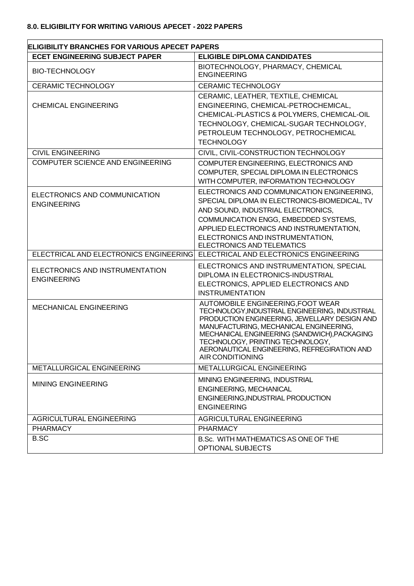| <b>ELIGIBILITY BRANCHES FOR VARIOUS APECET PAPERS</b> |                                                                                                                                                                                                                                                                                                                                      |  |  |
|-------------------------------------------------------|--------------------------------------------------------------------------------------------------------------------------------------------------------------------------------------------------------------------------------------------------------------------------------------------------------------------------------------|--|--|
| <b>ECET ENGINEERING SUBJECT PAPER</b>                 | <b>ELIGIBLE DIPLOMA CANDIDATES</b>                                                                                                                                                                                                                                                                                                   |  |  |
| <b>BIO-TECHNOLOGY</b>                                 | BIOTECHNOLOGY, PHARMACY, CHEMICAL<br><b>ENGINEERING</b>                                                                                                                                                                                                                                                                              |  |  |
| <b>CERAMIC TECHNOLOGY</b>                             | <b>CERAMIC TECHNOLOGY</b>                                                                                                                                                                                                                                                                                                            |  |  |
| <b>CHEMICAL ENGINEERING</b>                           | CERAMIC, LEATHER, TEXTILE, CHEMICAL<br>ENGINEERING, CHEMICAL-PETROCHEMICAL,<br>CHEMICAL-PLASTICS & POLYMERS, CHEMICAL-OIL<br>TECHNOLOGY, CHEMICAL-SUGAR TECHNOLOGY,<br>PETROLEUM TECHNOLOGY, PETROCHEMICAL<br><b>TECHNOLOGY</b>                                                                                                      |  |  |
| <b>CIVIL ENGINEERING</b>                              | CIVIL, CIVIL-CONSTRUCTION TECHNOLOGY                                                                                                                                                                                                                                                                                                 |  |  |
| COMPUTER SCIENCE AND ENGINEERING                      | COMPUTER ENGINEERING, ELECTRONICS AND<br>COMPUTER, SPECIAL DIPLOMA IN ELECTRONICS<br>WITH COMPUTER, INFORMATION TECHNOLOGY                                                                                                                                                                                                           |  |  |
| ELECTRONICS AND COMMUNICATION<br><b>ENGINEERING</b>   | ELECTRONICS AND COMMUNICATION ENGINEERING,<br>SPECIAL DIPLOMA IN ELECTRONICS-BIOMEDICAL, TV<br>AND SOUND, INDUSTRIAL ELECTRONICS,<br>COMMUNICATION ENGG, EMBEDDED SYSTEMS,<br>APPLIED ELECTRONICS AND INSTRUMENTATION,<br>ELECTRONICS AND INSTRUMENTATION,<br>ELECTRONICS AND TELEMATICS                                             |  |  |
| ELECTRICAL AND ELECTRONICS ENGINEERING                | ELECTRICAL AND ELECTRONICS ENGINEERING                                                                                                                                                                                                                                                                                               |  |  |
| ELECTRONICS AND INSTRUMENTATION<br><b>ENGINEERING</b> | ELECTRONICS AND INSTRUMENTATION, SPECIAL<br>DIPLOMA IN ELECTRONICS-INDUSTRIAL<br>ELECTRONICS, APPLIED ELECTRONICS AND<br><b>INSTRUMENTATION</b>                                                                                                                                                                                      |  |  |
| <b>MECHANICAL ENGINEERING</b>                         | AUTOMOBILE ENGINEERING, FOOT WEAR<br>TECHNOLOGY, INDUSTRIAL ENGINEERING, INDUSTRIAL<br>PRODUCTION ENGINEERING, JEWELLARY DESIGN AND<br>MANUFACTURING, MECHANICAL ENGINEERING,<br>MECHANICAL ENGINEERING (SANDWICH), PACKAGING<br>TECHNOLOGY, PRINTING TECHNOLOGY,<br>AERONAUTICAL ENGINEERING, REFREGIRATION AND<br>AIR CONDITIONING |  |  |
| <b>METALLURGICAL ENGINEERING</b>                      | METALLURGICAL ENGINEERING                                                                                                                                                                                                                                                                                                            |  |  |
| <b>MINING ENGINEERING</b>                             | MINING ENGINEERING, INDUSTRIAL<br>ENGINEERING, MECHANICAL<br>ENGINEERING, INDUSTRIAL PRODUCTION<br><b>ENGINEERING</b>                                                                                                                                                                                                                |  |  |
| AGRICULTURAL ENGINEERING                              | <b>AGRICULTURAL ENGINEERING</b>                                                                                                                                                                                                                                                                                                      |  |  |
| <b>PHARMACY</b>                                       | <b>PHARMACY</b>                                                                                                                                                                                                                                                                                                                      |  |  |
| <b>B.SC</b>                                           | B.Sc. WITH MATHEMATICS AS ONE OF THE<br><b>OPTIONAL SUBJECTS</b>                                                                                                                                                                                                                                                                     |  |  |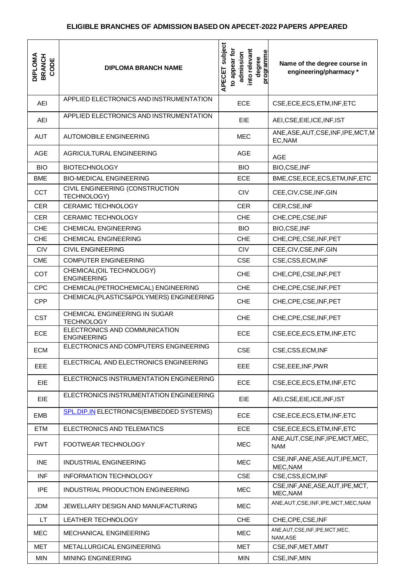| <b>DIPLOMA</b><br><b>BRANCH</b><br>CODE | <b>DIPLOMA BRANCH NAME</b>                          | subject<br>into relevant<br>to appear for<br>programme<br>admission<br>degree<br>APECET | Name of the degree course in<br>engineering/pharmacy* |
|-----------------------------------------|-----------------------------------------------------|-----------------------------------------------------------------------------------------|-------------------------------------------------------|
| <b>AEI</b>                              | APPLIED ELECTRONICS AND INSTRUMENTATION             | ECE                                                                                     | CSE, ECE, ECS, ETM, INF, ETC                          |
| <b>AEI</b>                              | APPLIED ELECTRONICS AND INSTRUMENTATION             | <b>EIE</b>                                                                              | AEI, CSE, EIE, ICE, INF, IST                          |
| <b>AUT</b>                              | <b>AUTOMOBILE ENGINEERING</b>                       | <b>MEC</b>                                                                              | ANE, ASE, AUT, CSE, INF, IPE, MCT, M<br>EC, NAM       |
| <b>AGE</b>                              | AGRICULTURAL ENGINEERING                            | <b>AGE</b>                                                                              | <b>AGE</b>                                            |
| <b>BIO</b>                              | <b>BIOTECHNOLOGY</b>                                | <b>BIO</b>                                                                              | BIO,CSE, INF                                          |
| <b>BME</b>                              | <b>BIO-MEDICAL ENGINEERING</b>                      | ECE                                                                                     | BME, CSE, ECE, ECS, ETM, INF, ETC                     |
| <b>CCT</b>                              | CIVIL ENGINEERING (CONSTRUCTION<br>TECHNOLOGY)      | <b>CIV</b>                                                                              | CEE, CIV, CSE, INF, GIN                               |
| <b>CER</b>                              | <b>CERAMIC TECHNOLOGY</b>                           | <b>CER</b>                                                                              | CER,CSE,INF                                           |
| <b>CER</b>                              | <b>CERAMIC TECHNOLOGY</b>                           | <b>CHE</b>                                                                              | CHE, CPE, CSE, INF                                    |
| <b>CHE</b>                              | <b>CHEMICAL ENGINEERING</b>                         | <b>BIO</b>                                                                              | BIO,CSE, INF                                          |
| <b>CHE</b>                              | <b>CHEMICAL ENGINEERING</b>                         | <b>CHE</b>                                                                              | CHE, CPE, CSE, INF, PET                               |
| <b>CIV</b>                              | <b>CIVIL ENGINEERING</b>                            | <b>CIV</b>                                                                              | CEE, CIV, CSE, INF, GIN                               |
| <b>CME</b>                              | <b>COMPUTER ENGINEERING</b>                         | <b>CSE</b>                                                                              | CSE,CSS,ECM,INF                                       |
| <b>COT</b>                              | CHEMICAL(OIL TECHNOLOGY)<br><b>ENGINEERING</b>      | <b>CHE</b>                                                                              | CHE, CPE, CSE, INF, PET                               |
| <b>CPC</b>                              | CHEMICAL(PETROCHEMICAL) ENGINEERING                 | <b>CHE</b>                                                                              | CHE, CPE, CSE, INF, PET                               |
| <b>CPP</b>                              | CHEMICAL(PLASTICS&POLYMERS) ENGINEERING             | <b>CHE</b>                                                                              | CHE, CPE, CSE, INF, PET                               |
| <b>CST</b>                              | CHEMICAL ENGINEERING IN SUGAR<br><b>TECHNOLOGY</b>  | <b>CHE</b>                                                                              | CHE, CPE, CSE, INF, PET                               |
| ECE                                     | ELECTRONICS AND COMMUNICATION<br><b>ENGINEERING</b> | <b>ECE</b>                                                                              | CSE, ECE, ECS, ETM, INF, ETC                          |
| <b>ECM</b>                              | ELECTRONICS AND COMPUTERS ENGINEERING               | <b>CSE</b>                                                                              | CSE.CSS.ECM.INF                                       |
| EEE                                     | ELECTRICAL AND ELECTRONICS ENGINEERING              | EEE                                                                                     | CSE, EEE, INF, PWR                                    |
| <b>EIE</b>                              | ELECTRONICS INSTRUMENTATION ENGINEERING             | <b>ECE</b>                                                                              | CSE, ECE, ECS, ETM, INF, ETC                          |
| EIE                                     | ELECTRONICS INSTRUMENTATION ENGINEERING             | <b>EIE</b>                                                                              | AEI, CSE, EIE, ICE, INF, IST                          |
| <b>EMB</b>                              | SPL.DIP.IN ELECTRONICS(EMBEDDED SYSTEMS)            | <b>ECE</b>                                                                              | CSE, ECE, ECS, ETM, INF, ETC                          |
| <b>ETM</b>                              | ELECTRONICS AND TELEMATICS                          | ECE                                                                                     | CSE, ECE, ECS, ETM, INF, ETC                          |
| <b>FWT</b>                              | FOOTWEAR TECHNOLOGY                                 | <b>MEC</b>                                                                              | ANE, AUT, CSE, INF, IPE, MCT, MEC,<br><b>NAM</b>      |
| <b>INE</b>                              | INDUSTRIAL ENGINEERING                              | <b>MEC</b>                                                                              | CSE, INF, ANE, ASE, AUT, IPE, MCT,<br>MEC, NAM        |
| <b>INF</b>                              | <b>INFORMATION TECHNOLOGY</b>                       | <b>CSE</b>                                                                              | CSE,CSS,ECM,INF                                       |
| <b>IPE</b>                              | INDUSTRIAL PRODUCTION ENGINEERING                   | <b>MEC</b>                                                                              | CSE, INF, ANE, ASE, AUT, IPE, MCT,<br>MEC, NAM        |
| <b>JDM</b>                              | JEWELLARY DESIGN AND MANUFACTURING                  | <b>MEC</b>                                                                              | ANE, AUT, CSE, INF, IPE, MCT, MEC, NAM                |
| <b>LT</b>                               | LEATHER TECHNOLOGY                                  | <b>CHE</b>                                                                              | CHE, CPE, CSE, INF                                    |
| <b>MEC</b>                              | MECHANICAL ENGINEERING                              | <b>MEC</b>                                                                              | ANE, AUT, CSE, INF, IPE, MCT, MEC,<br>NAM, ASE        |
| <b>MET</b>                              | METALLURGICAL ENGINEERING                           | <b>MET</b>                                                                              | CSE, INF, MET, MMT                                    |
| <b>MIN</b>                              | MINING ENGINEERING                                  | <b>MIN</b>                                                                              | CSE, INF, MIN                                         |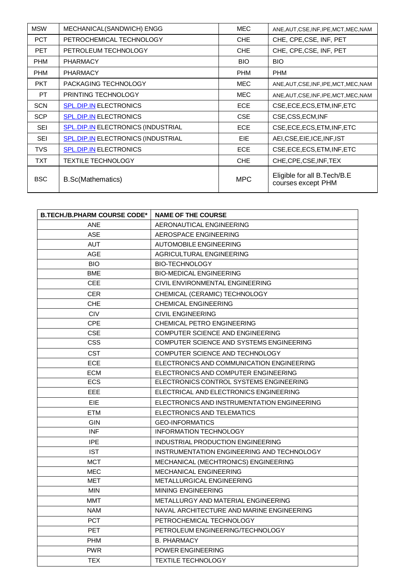| <b>MSW</b> | MECHANICAL(SANDWICH) ENGG                 | <b>MEC</b> | ANE, AUT, CSE, INF, IPE, MCT, MEC, NAM            |
|------------|-------------------------------------------|------------|---------------------------------------------------|
| <b>PCT</b> | PETROCHEMICAL TECHNOLOGY                  | CHE.       | CHE, CPE, CSE, INF, PET                           |
| <b>PET</b> | PETROLEUM TECHNOLOGY                      | CHE.       | CHE, CPE, CSE, INF, PET                           |
| <b>PHM</b> | <b>PHARMACY</b>                           | <b>BIO</b> | <b>BIO</b>                                        |
| <b>PHM</b> | <b>PHARMACY</b>                           | <b>PHM</b> | <b>PHM</b>                                        |
| <b>PKT</b> | PACKAGING TECHNOLOGY                      | MEC        | ANE, AUT, CSE, INF, IPE, MCT, MEC, NAM            |
| PT.        | PRINTING TECHNOLOGY                       | <b>MEC</b> | ANE, AUT, CSE, INF, IPE, MCT, MEC, NAM            |
| <b>SCN</b> | <b>SPL.DIP.IN ELECTRONICS</b>             | <b>ECE</b> | CSE, ECE, ECS, ETM, INF, ETC                      |
| <b>SCP</b> | <b>SPL.DIP.IN ELECTRONICS</b>             | <b>CSE</b> | CSE,CSS,ECM,INF                                   |
| <b>SEI</b> | <b>SPL.DIP.IN ELECTRONICS (INDUSTRIAL</b> | <b>ECE</b> | CSE, ECE, ECS, ETM, INF, ETC                      |
| <b>SEI</b> | SPL.DIP.IN ELECTRONICS (INDUSTRIAL        | <b>EIE</b> | AEI, CSE, EIE, ICE, INF, IST                      |
| <b>TVS</b> | <b>SPL.DIP.IN ELECTRONICS</b>             | ECE.       | CSE, ECE, ECS, ETM, INF, ETC                      |
| <b>TXT</b> | <b>TEXTILE TECHNOLOGY</b>                 | <b>CHE</b> | CHE, CPE, CSE, INF, TEX                           |
| <b>BSC</b> | <b>B.Sc(Mathematics)</b>                  | <b>MPC</b> | Eligible for all B.Tech/B.E<br>courses except PHM |

| <b>B.TECH./B.PHARM COURSE CODE*</b> | <b>NAME OF THE COURSE</b>                   |
|-------------------------------------|---------------------------------------------|
| <b>ANE</b>                          | AERONAUTICAL ENGINEERING                    |
| <b>ASE</b>                          | AEROSPACE ENGINEERING                       |
| AUT                                 | <b>AUTOMOBILE ENGINEERING</b>               |
| <b>AGE</b>                          | AGRICULTURAL ENGINEERING                    |
| BIO.                                | <b>BIO-TECHNOLOGY</b>                       |
| <b>BME</b>                          | <b>BIO-MEDICAL ENGINEERING</b>              |
| CEE.                                | CIVIL ENVIRONMENTAL ENGINEERING             |
| CER                                 | CHEMICAL (CERAMIC) TECHNOLOGY               |
| <b>CHE</b>                          | <b>CHEMICAL ENGINEERING</b>                 |
| <b>CIV</b>                          | <b>CIVIL ENGINEERING</b>                    |
| <b>CPE</b>                          | CHEMICAL PETRO ENGINEERING                  |
| <b>CSE</b>                          | <b>COMPUTER SCIENCE AND ENGINEERING</b>     |
| <b>CSS</b>                          | COMPUTER SCIENCE AND SYSTEMS ENGINEERING    |
| CST                                 | COMPUTER SCIENCE AND TECHNOLOGY             |
| <b>ECE</b>                          | ELECTRONICS AND COMMUNICATION ENGINEERING   |
| <b>ECM</b>                          | ELECTRONICS AND COMPUTER ENGINEERING        |
| <b>ECS</b>                          | ELECTRONICS CONTROL SYSTEMS ENGINEERING     |
| EEE.                                | ELECTRICAL AND ELECTRONICS ENGINEERING      |
| EIE.                                | ELECTRONICS AND INSTRUMENTATION ENGINEERING |
| <b>ETM</b>                          | ELECTRONICS AND TELEMATICS                  |
| GIN                                 | <b>GEO-INFORMATICS</b>                      |
| INF                                 | <b>INFORMATION TECHNOLOGY</b>               |
| IPE                                 | INDUSTRIAL PRODUCTION ENGINEERING           |
| <b>IST</b>                          | INSTRUMENTATION ENGINEERING AND TECHNOLOGY  |
| <b>MCT</b>                          | MECHANICAL (MECHTRONICS) ENGINEERING        |
| <b>MEC</b>                          | MECHANICAL ENGINEERING                      |
| MET                                 | METALLURGICAL ENGINEERING                   |
| <b>MIN</b>                          | <b>MINING ENGINEERING</b>                   |
| <b>MMT</b>                          | METALLURGY AND MATERIAL ENGINEERING         |
| <b>NAM</b>                          | NAVAL ARCHITECTURE AND MARINE ENGINEERING   |
| <b>PCT</b>                          | PETROCHEMICAL TECHNOLOGY                    |
| <b>PET</b>                          | PETROLEUM ENGINEERING/TECHNOLOGY            |
| <b>PHM</b>                          | <b>B. PHARMACY</b>                          |
| <b>PWR</b>                          | <b>POWER ENGINEERING</b>                    |
| <b>TEX</b>                          | <b>TEXTILE TECHNOLOGY</b>                   |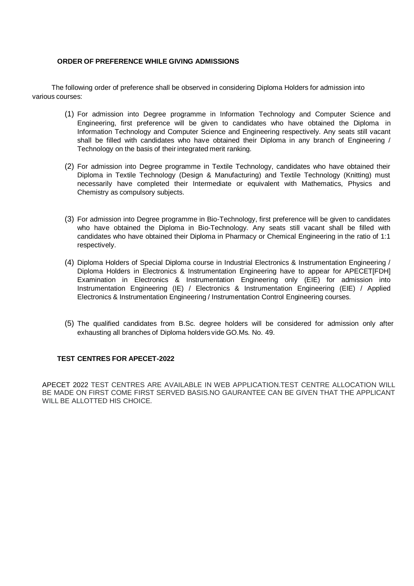#### **ORDER OF PREFERENCE WHILE GIVING ADMISSIONS**

The following order of preference shall be observed in considering Diploma Holders for admission into various courses:

- (1) For admission into Degree programme in Information Technology and Computer Science and Engineering, first preference will be given to candidates who have obtained the Diploma in Information Technology and Computer Science and Engineering respectively. Any seats still vacant shall be filled with candidates who have obtained their Diploma in any branch of Engineering / Technology on the basis of their integrated merit ranking.
- (2) For admission into Degree programme in Textile Technology, candidates who have obtained their Diploma in Textile Technology (Design & Manufacturing) and Textile Technology (Knitting) must necessarily have completed their Intermediate or equivalent with Mathematics, Physics and Chemistry as compulsory subjects.
- (3) For admission into Degree programme in Bio-Technology, first preference will be given to candidates who have obtained the Diploma in Bio-Technology. Any seats still vacant shall be filled with candidates who have obtained their Diploma in Pharmacy or Chemical Engineering in the ratio of 1:1 respectively.
- (4) Diploma Holders of Special Diploma course in Industrial Electronics & Instrumentation Engineering / Diploma Holders in Electronics & Instrumentation Engineering have to appear for APECETIFDHI Examination in Electronics & Instrumentation Engineering only (EIE) for admission into Instrumentation Engineering (IE) / Electronics & Instrumentation Engineering (EIE) / Applied Electronics & Instrumentation Engineering / Instrumentation Control Engineering courses.
- (5) The qualified candidates from B.Sc. degree holders will be considered for admission only after exhausting all branches of Diploma holders vide GO.Ms. No. 49.

#### **TEST CENTRES FOR APECET-2022**

APECET 2022 TEST CENTRES ARE AVAILABLE IN WEB APPLICATION.TEST CENTRE ALLOCATION WILL BE MADE ON FIRST COME FIRST SERVED BASIS.NO GAURANTEE CAN BE GIVEN THAT THE APPLICANT WILL BE ALLOTTED HIS CHOICE.